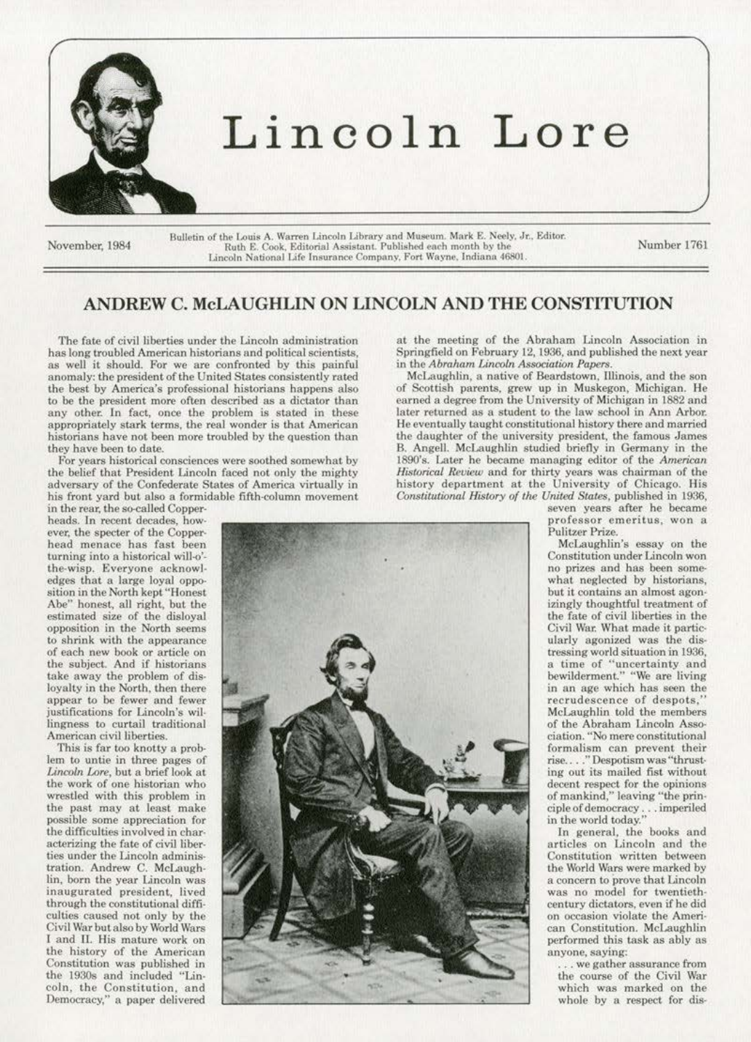

# **Lincoln Lore**

November, 1984

Bulletin of the Louis A. Warren Lincoln Library and Museum. Mark E. Neely, Jr., Editor. Ruth F. Cook, Editorial Assistant. Published each month by the Number 1761 Lincoln National Life Insurance Company. Fort Wayne. Indiana 46801.

# ANDREW C. McLAUGHLIN ON LINCOLN AND THE CONSTITUTION

The fate of civil liberties under the Lincoln administration<br>has long troubled American historians and political scientists, as well it should. For we are confronted by this painful anomaly: the president of the United States consistently rated the best by America's professional historians happens also to be the president more often described as a dictator than any other. In fact, once the problem is stated in these appropriately stark terms, the real wonder is that American historians have not been more troubled by the question than they have been to date.

For years historical consciences were soothed somewhat by the belief that President Lincoln faced not only the mighty adversary of the Confederate States of America virtually in his front yard but also a formidable fifth-column movement

in the rear, the so-called Copper-<br>heads. In recent decades, however, the specter of the Copperhead menace has fast been turning into a historical will.o'· the-wisp. Everyone acknowJ. edges that a large loyal opposition in the North kept "Honest Abe" honest, all right, but the estimated size of the disloyal opposition in the North seems to shrink with the appearance of each new book or article on the subject- And if historians take away the problem of dis· loyalty in the North. then there appear to be fewer and fewer justifications for Lincoln's wil· lingness to curtail traditional American civil liberties.

This is far too knotty a problem to untie in three pages of Lincoln Lore, but a brief look at the work of one historian who wrestled with this problem in the past may at least make possible some appreciation for the difficulties involved in char· acterizing the fate of civil liberties under the Lincoln administration. Andrew C. McLaughlin, born the year Lincoln was inaugurated president, lived<br>through the constitutional difficulties caused not only by the Civil Wat but also by World Wars I and II. His mature work on<br>the history of the American Constitution was published in the 1930s and included "Lin· coin. the Constitution, and Democracy," a paper delivered

at the meeting of the Abraham Lincoln Association in Springfield on February 12, 1936, and published the next year in the *Abraham Lincoln Association Papers.* 

of Scottish parents, grew up in Muskegon, Michigan. He earned a degree from the University of Michjgan in 1882 and later returned as a student to the law school in Ann Arbor. He eventually taught constitutional history there and married the daughter of the university president, the famous James B. Angell. McLaughlin studied briefly in Germany in the 1890's. Later he became managing editor of the *Americcm*  Historical Review and for thirty years was chairman of the history department at the University of Chicago. His Constitutional History of the United States, published in 1936,

seven years after be became professor emeritus, won a Pulitzer Prize.

McLaughlin's essay on the Constitution under Lincoln won no prizes and has been somewhat neglected by historians,<br>but it contains an almost agonizingly thoughtful treatment of the fate of civil liberties in the Civil War. What made it particularly agonized was the distressing world situation in 1936, a time of " uncertainty and bewilderment." "We are living in an age which has seen the recrudescence of despots," McLaughlin told the members of the Abraham lincoln Association. ''No mere constitutional formalism can prevent their rise...." Despotism was "thrusting out its mailed fist without decent respect for the opinions<br>of mankind," leaving "the prinof mankind," leaving "the prin· cipleof democracy ... imperiled in the world today."

In general, the books and articles on Lincoln and the. Constitution written between the World Wars were marked by a concern to prove that Lincoln was no model for twentieth· century dictators. even if he did can Constitution. McLaughlin performed this task as ably as anyone, saying:

... we gather assurance from the course of the Civil War which was marked on the whole by a respect for dis-

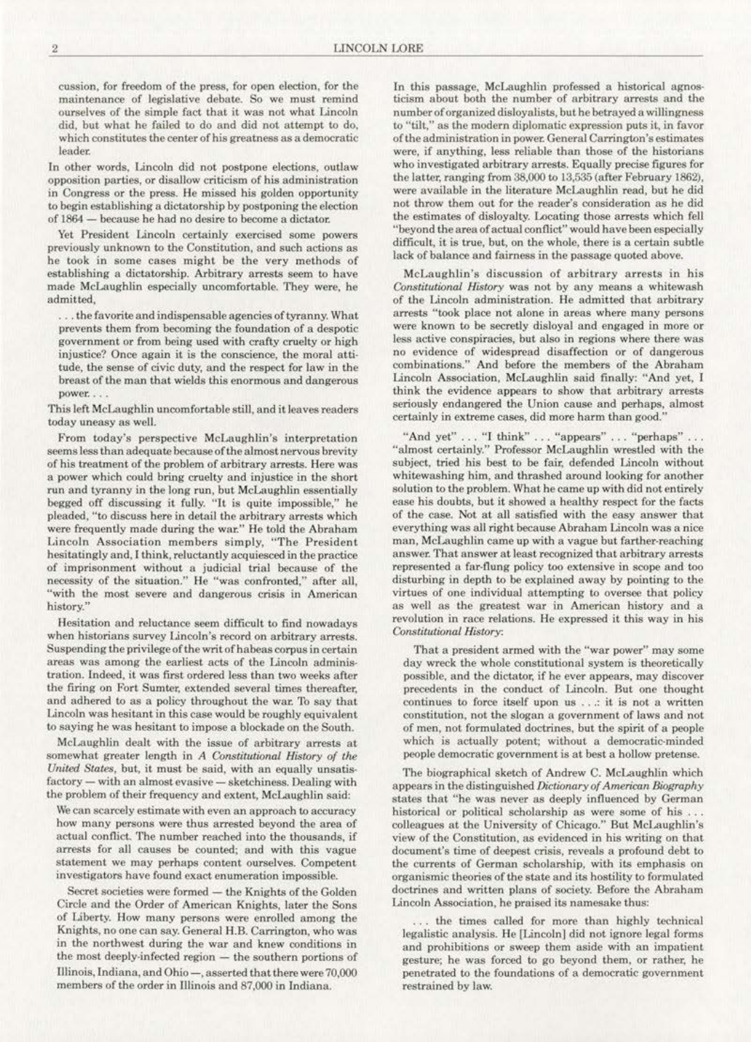cussion, for freedom of the press. for open election, for the maintenance of legislative debate. So we must remind ourselves of the simple fact that it was not what Lincoln did, but what he failed to do and did not attempt to do, which constitutes the center of his greatness as a democratic leader.

ln other words, Lincoln did not. postpone elections, outlaw opposition parties, or disallow criticism of his administration in Congress or the press. He missed his golden opportunity to begin establishing a dictatorship by postponing the election of 1864 -because he had no desire to become a dictator.

Yet President Lincoln certainly exercised some powers previously unknown to the Constitution, and such actions as he took in some cases might be the very methods of establishing a dictatorship. Arbitrary arrests seem to have made McLaughlin especially uncomfortable. They were, he admitted,

... the favorite and indispensable agencies of tyranny. What prevents them from becoming the foundation of a despotic government or from being used with crafty cruelty or high injustice? Once again it is the conscience, the moral attitude, the sense of civic duty, and the respect for law in the breast of the man that wields this enormous and dangerous power...

This left McLaughlin uncomfortable still, and it leaves readers today uneasy as well.

From today's perspective McLaughlin's interpretation seems less than adequate because of the almost nervous brevity of his treatment of the problem of arbitrary arrests. Here was a power which could bring cruelty and injustice in the short run and tyranny in the long run, but McLaughlin essentially begged off discussing it fully. "It is quite impossible," he pleaded, "to discuss here in detail the arbitrary arrests which were frequently made during the war.'' He told the Abraham Lincoln Association members simply, ''The President hesitatingly and, I think, reluctantly acquiesced in the practice of imprisonment without a judicial trial because of the necessity of the situation." He "was confronted," after all. "with the most severe and dangerous crisis in American history."

Hesitation and reluctance seem difficult to find nowadays when historians survey Lincoln's record on arbitrary arrests. Suspending tbe privilege of the writ of habeas corpus in certain areas was among the earliest acts of the Lincoln administration. Indeed, it was first ordered less than two weeks after the firing on Fort Sumter, extended several times thereafter, and adhered to as a policy throughout the wat. To say that Lincoln was hesitant in this case would be roughly equivalent to saying he was hesitant to impose a blockade on the South.

McLaughlin dealt with the issue of arbitrary arrests at somewhat greater length in A Constitutional History of the *United States, but, it must be said, with an equally unsatis*factory - with an almost evasive - sketchiness. Dealing with the problem of their frequency and extent. McLaughlin said:

We can scarcely estimate with even an approach to accuracy how many persons were thus arrested beyond the area of actual conflict. The number reached into the thousands, if arrests for all causes be counted; and with this vague statement we may perhaps content ourselves. Competent investigators have found exact enumeration impossible.

Secret societies were formed - the Knights of the Golden Cirele and the Order of American Knights, later the Sons of Liberty. How many persons were enrolled among the Knights, no one can say. General H.B. Carrington, who was in the northwest during the war and knew conditions in the most deeply-infected region - the southern portions of Ulinois, Indiana, and Ohio-, asserted that there were 70,000 members of the order in Illinois and 87,000 in Indiana.

In this passage, McLaughlin professed a historical agnos· ticism about both the number of arbitrary arrests and the number of organized disloyalists, but he betrayed a willingness to "tilt," as the modern diplomatic expression puts it, in favor of the administration in power. General Carrington's estimates were, if anything, less reliable than those of the historians who investigated arbitrary arrests. Equally precise figures for the latter, ranging from 38,000 to 13,535 (after February 1862), were available in the literature McLaughlin read, but he did not throw them out for the reader's consideration as he did the estimates of disloyalty. Locating those arrests which fell "beyond the area of actual confljct'' would have been especially difficult, it is true, but, on the whole, there is a certain subtle lack of balance and fairness in the passage quoted above.

McLaughlin's discussion of arbitrary arrests in his *Constitutional History* was not by any means a whitewash of the Lincoln administration. He admitted that arbitrary arrests "took place not alone in areas where many persons were known to be secretly disloyal and engaged in more or less active conspiracies, but also in regions where there was no evidence of widespread disaffection or of dangerous combinations." And before the members of the Abraham Lincoln Association, McLaughlin said finally: ''And yet, l think the evidence appears to show that arbitrary arrests seriously endangered the Union cause and perhaps, almost. certainly in extreme cases, did more harm than good."

"And yet"  $\dots$  "I think"  $\dots$  "appears"  $\dots$  "perhaps"  $\dots$ "almost certainly." Professor McLaughlin wrestled with the subject, tried his best to be fair, defended Lincoln without whitewashing him, and thrashed around looking for another solution to the problem. What he came up with did not entirely ease his doubts, but it showed a healthy respect for the facts of the case. Not at all satisfied with the easy answer that everythjng was all right because Abraham Lincoln was a nice man, McLaughlin came up with a vague but farther· reaching answer. That answer at least recognized that arbitrary arrests represented a far-flung policy too extensive in scope and too disturbing in depth to be explained away by pointing to the virtues of one individual attempting to oversee that policy as well as the greatest war in American history and a revolution in race relations. He expressed it this way in his *Cot,stilutional History.* 

That a president armed with the "war power" may some day wreck the whole constitutional system is theoretically possible, and the dictator, if he ever appears, may discover precedents in the conduct of Lincoln. But one thought continues to force itself upon us . . .: it is not a written constitution, not the slogan a government of laws and not of men, not formulated doctrines, but. the spirit of a people which is actually potent; without a democratic-minded people democratic government is at best a hollow pretense.

The biographical sketch of Andrew C. McLaughlin which appears in the distinguished *Dictionary of American Biography* states that "he was never as deeply influenced by German historical or political scholarship as were some of his ... colleagues at the University of Chicago." But McLaughlin's view of the Constitution. as evidenced in his writing on that. document's time of deepest crisis, reveals a profound debt to the currents of German scholarship, with its emphasis on organismic theories of the state and its hostility to formulated doctrines and written plans of society. Before the Abraham Lincoln Association, he praised its namesake thus:

. . . the times called for more than highly technical legalistic analysis. He [Lincoln] did not ignore legal forms and prohibitions or sweep them aside with an impatient gesture; he was forced to go beyond them, or rather, he penetrated to the foundations of a democratic government. restrained by law.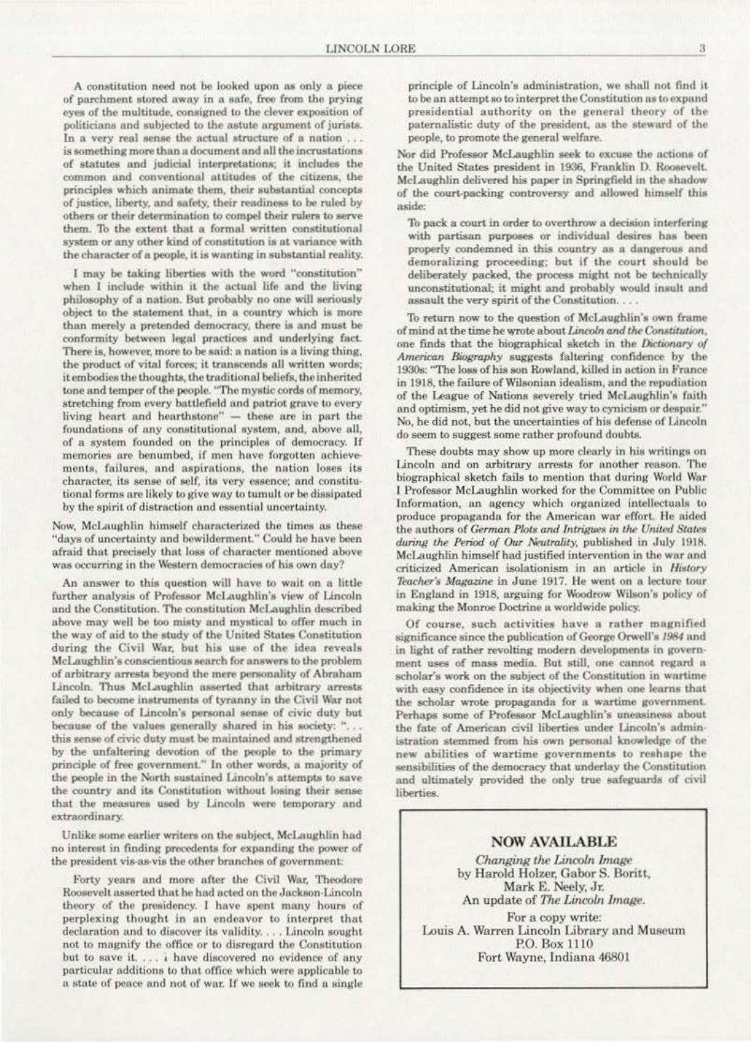A constitution need not be looked upon as only a piece of parchment stored away in a safe, free from the prying eyes of the multitude, consigned to the clever exposition of politicians and subjected to the astute argument of jurists. In a very real sense the actual structure of a nation ... is something more than a document and all the incrustations of statutes and judicial interpretations; it includes the common and conventional attitudes of the citizens, the principles which animate them, their substantial concepts of justice, liberty, and safety, their readiness to be ruled by others or their determination to compel their rulers to serve them. To the extent that a formal written constitutional system or any other kind of constitution is at variance with the character of a people, it is wanting in substantial reality.

I may be taking liberties with the word "constitution" when I include within it the actual life and the living philosophy of a nation. But probably no one will seriously object to the statement that, in a country which is more than merely a pretended democracy, there is and must be conformity between legal practices and underlying fact. There is, however, more to be said: a nation is a living thing. the product of vital forces; it transcends all written words; it embodies the thoughts, the traditional beliefs, the inherited tone and temper of the people. "The mystic cords of memory, stretching from every battlefield and patriot grave to every living heart and hearthstone" - these are in part the foundations of any constitutional system, and, above all, of a system founded on the principles of democracy. If memories are benumbed, if men have forgotten achievements, failures, and aspirations, the nation loses its character, its sense of self, its very essence; and constitutional forms are likely to give way to tumult or be dissipated by the spirit of distraction and essential uncertainty.

Now, McLaughlin himself characterized the times as these "days of uncertainty and bewilderment." Could he have been afraid that precisely that loss of character mentioned above was occurring in the Western democracies of his own day?

An answer to this question will have to wait on a little further analysis of Professor McLaughlin's view of Lincoln and the Constitution. The constitution McLaughlin described above may well be too misty and mystical to offer much in the way of aid to the study of the United States Constitution during the Civil War, but his use of the idea reveals McLaughlin's conscientious search for answers to the problem of arbitrary arrests beyond the mere personality of Abraham Lincoln. Thus McLaughlin asserted that arbitrary arrests failed to become instruments of tyranny in the Civil War not only because of Lincoln's personal sense of civic duty but because of the values generally shared in his society: "... this sense of civic duty must be maintained and strengthened by the unfaltering devotion of the people to the primary principle of free government." In other words, a majority of the people in the North sustained Lincoln's attempts to save the country and its Constitution without losing their sense that the measures used by Lincoln were temporary and extraordinary.

Unlike some earlier writers on the subject, McLaughlin had no interest in finding precedents for expanding the power of the president vis-as-vis the other branches of government:

Forty years and more after the Civil War, Theodore Roosevelt asserted that he had acted on the Jackson-Lincoln theory of the presidency. I have spent many hours of perplexing thought in an endeavor to interpret that declaration and to discover its validity. . . . Lincoln sought not to magnify the office or to disregard the Constitution but to save it.... i have discovered no evidence of any particular additions to that office which were applicable to a state of peace and not of war. If we seek to find a single

principle of Lincoln's administration, we shall not find it to be an attempt so to interpret the Constitution as to expand presidential authority on the general theory of the paternalistic duty of the president, as the steward of the people, to promote the general welfare.

Nor did Professor McLaughlin seek to excuse the actions of the United States president in 1936, Franklin D. Roosevelt. McLaughlin delivered his paper in Springfield in the shadow of the court-packing controversy and allowed himself this aside

To pack a court in order to overthrow a decision interfering with partisan purposes or individual desires has been properly condemned in this country as a dangerous and demoralizing proceeding; but if the court should be deliberately packed, the process might not be technically unconstitutional; it might and probably would insult and assault the very spirit of the Constitution....

To return now to the question of McLaughlin's own frame of mind at the time he wrote about Lincoln and the Constitution. one finds that the biographical sketch in the Dictionary of American Biography suggests faltering confidence by the 1930s: "The loss of his son Rowland, killed in action in France in 1918, the failure of Wilsonian idealism, and the repudiation of the League of Nations severely tried McLaughlin's faith and optimism, yet he did not give way to cynicism or despair." No, he did not, but the uncertainties of his defense of Lincoln do seem to suggest some rather profound doubts.

These doubts may show up more clearly in his writings on Lincoln and on arbitrary arrests for another reason. The biographical sketch fails to mention that during World War I Professor McLaughlin worked for the Committee on Public Information, an agency which organized intellectuals to produce propaganda for the American war effort. He aided the authors of German Plots and Intrigues in the United States during the Period of Our Neutrality, published in July 1918. McLaughlin himself had justified intervention in the war and criticized American isolationism in an article in History Teacher's Magazine in June 1917. He went on a lecture tour in England in 1918, arguing for Woodrow Wilson's policy of making the Monroe Doctrine a worldwide policy.

Of course, such activities have a rather magnified significance since the publication of George Orwell's 1984 and in light of rather revolting modern developments in government uses of mass media. But still, one cannot regard a scholar's work on the subject of the Constitution in wartime with easy confidence in its objectivity when one learns that the scholar wrote propaganda for a wartime government. Perhaps some of Professor McLaughlin's uneasiness about the fate of American civil liberties under Lincoln's administration stemmed from his own personal knowledge of the new abilities of wartime governments to reshape the sensibilities of the democracy that underlay the Constitution and ultimately provided the only true safeguards of civil liberties.

### **NOW AVAILABLE**

Changing the Lincoln Image by Harold Holzer, Gabor S. Boritt, Mark E. Neely, Jr. An update of The Lincoln Image.

For a copy write: Louis A. Warren Lincoln Library and Museum P.O. Box 1110 Fort Wayne, Indiana 46801